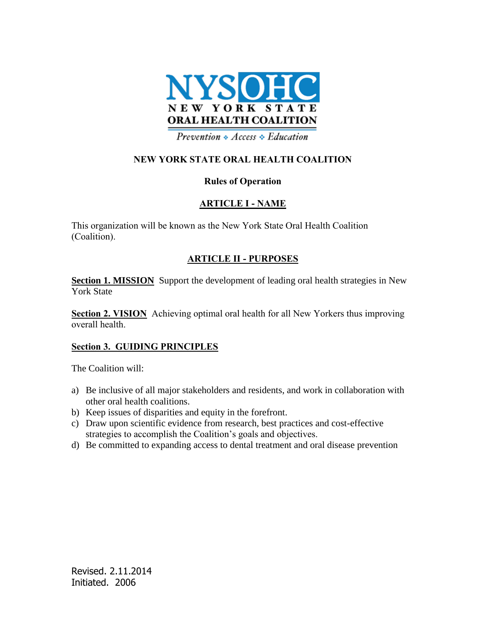

Prevention  $\triangle$  Access  $\triangle$  Education

## **NEW YORK STATE ORAL HEALTH COALITION**

#### **Rules of Operation**

#### **ARTICLE I - NAME**

This organization will be known as the New York State Oral Health Coalition (Coalition).

### **ARTICLE II - PURPOSES**

**Section 1. MISSION** Support the development of leading oral health strategies in New York State

**Section 2. VISION** Achieving optimal oral health for all New Yorkers thus improving overall health.

#### **Section 3. GUIDING PRINCIPLES**

The Coalition will:

- a) Be inclusive of all major stakeholders and residents, and work in collaboration with other oral health coalitions.
- b) Keep issues of disparities and equity in the forefront.
- c) Draw upon scientific evidence from research, best practices and cost-effective strategies to accomplish the Coalition's goals and objectives.
- d) Be committed to expanding access to dental treatment and oral disease prevention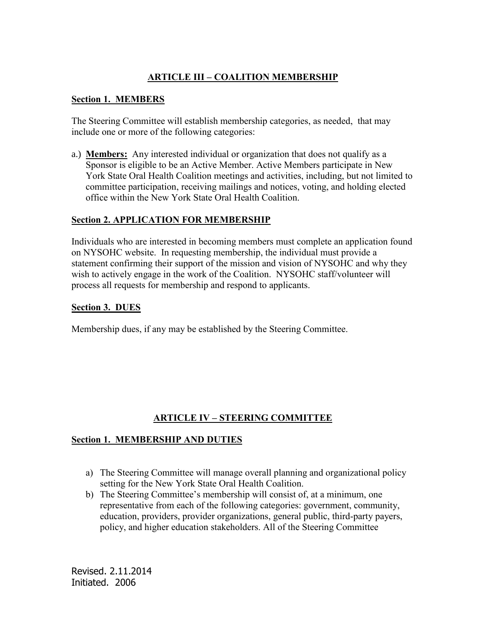# **ARTICLE III – COALITION MEMBERSHIP**

#### **Section 1. MEMBERS**

The Steering Committee will establish membership categories, as needed, that may include one or more of the following categories:

a.) **Members:** Any interested individual or organization that does not qualify as a Sponsor is eligible to be an Active Member. Active Members participate in New York State Oral Health Coalition meetings and activities, including, but not limited to committee participation, receiving mailings and notices, voting, and holding elected office within the New York State Oral Health Coalition.

#### **Section 2. APPLICATION FOR MEMBERSHIP**

Individuals who are interested in becoming members must complete an application found on NYSOHC website. In requesting membership, the individual must provide a statement confirming their support of the mission and vision of NYSOHC and why they wish to actively engage in the work of the Coalition. NYSOHC staff/volunteer will process all requests for membership and respond to applicants.

#### **Section 3. DUES**

Membership dues, if any may be established by the Steering Committee.

### **ARTICLE IV – STEERING COMMITTEE**

#### **Section 1. MEMBERSHIP AND DUTIES**

- a) The Steering Committee will manage overall planning and organizational policy setting for the New York State Oral Health Coalition.
- b) The Steering Committee's membership will consist of, at a minimum, one representative from each of the following categories: government, community, education, providers, provider organizations, general public, third-party payers, policy, and higher education stakeholders. All of the Steering Committee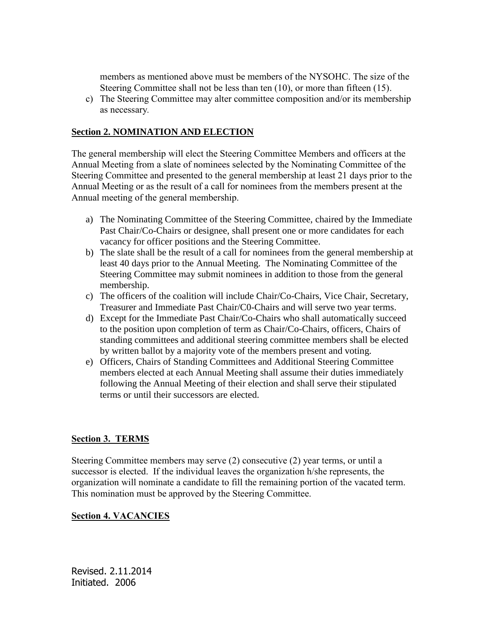members as mentioned above must be members of the NYSOHC. The size of the Steering Committee shall not be less than ten (10), or more than fifteen (15).

c) The Steering Committee may alter committee composition and/or its membership as necessary*.*

#### **Section 2. NOMINATION AND ELECTION**

The general membership will elect the Steering Committee Members and officers at the Annual Meeting from a slate of nominees selected by the Nominating Committee of the Steering Committee and presented to the general membership at least 21 days prior to the Annual Meeting or as the result of a call for nominees from the members present at the Annual meeting of the general membership.

- a) The Nominating Committee of the Steering Committee, chaired by the Immediate Past Chair/Co-Chairs or designee, shall present one or more candidates for each vacancy for officer positions and the Steering Committee.
- b) The slate shall be the result of a call for nominees from the general membership at least 40 days prior to the Annual Meeting. The Nominating Committee of the Steering Committee may submit nominees in addition to those from the general membership.
- c) The officers of the coalition will include Chair/Co-Chairs, Vice Chair, Secretary, Treasurer and Immediate Past Chair/C0-Chairs and will serve two year terms.
- d) Except for the Immediate Past Chair/Co-Chairs who shall automatically succeed to the position upon completion of term as Chair/Co-Chairs, officers, Chairs of standing committees and additional steering committee members shall be elected by written ballot by a majority vote of the members present and voting.
- e) Officers, Chairs of Standing Committees and Additional Steering Committee members elected at each Annual Meeting shall assume their duties immediately following the Annual Meeting of their election and shall serve their stipulated terms or until their successors are elected.

### **Section 3. TERMS**

Steering Committee members may serve (2) consecutive (2) year terms, or until a successor is elected. If the individual leaves the organization h/she represents, the organization will nominate a candidate to fill the remaining portion of the vacated term. This nomination must be approved by the Steering Committee.

#### **Section 4. VACANCIES**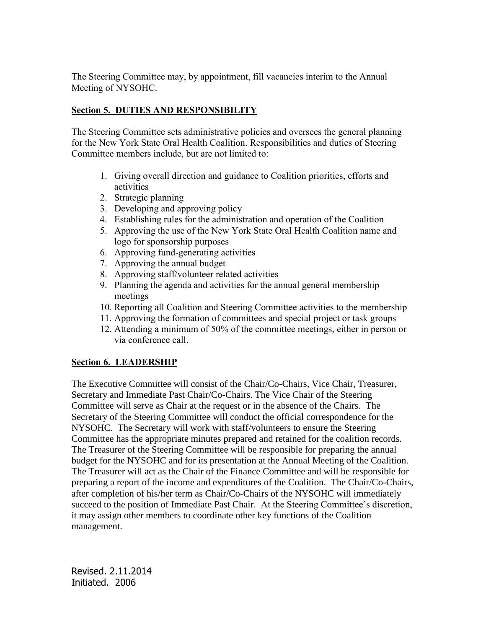The Steering Committee may, by appointment, fill vacancies interim to the Annual Meeting of NYSOHC.

## **Section 5. DUTIES AND RESPONSIBILITY**

The Steering Committee sets administrative policies and oversees the general planning for the New York State Oral Health Coalition. Responsibilities and duties of Steering Committee members include, but are not limited to:

- 1. Giving overall direction and guidance to Coalition priorities, efforts and activities
- 2. Strategic planning
- 3. Developing and approving policy
- 4. Establishing rules for the administration and operation of the Coalition
- 5. Approving the use of the New York State Oral Health Coalition name and logo for sponsorship purposes
- 6. Approving fund-generating activities
- 7. Approving the annual budget
- 8. Approving staff/volunteer related activities
- 9. Planning the agenda and activities for the annual general membership meetings
- 10. Reporting all Coalition and Steering Committee activities to the membership
- 11. Approving the formation of committees and special project or task groups
- 12. Attending a minimum of 50% of the committee meetings, either in person or via conference call.

### **Section 6. LEADERSHIP**

The Executive Committee will consist of the Chair/Co-Chairs, Vice Chair, Treasurer, Secretary and Immediate Past Chair/Co-Chairs. The Vice Chair of the Steering Committee will serve as Chair at the request or in the absence of the Chairs. The Secretary of the Steering Committee will conduct the official correspondence for the NYSOHC. The Secretary will work with staff/volunteers to ensure the Steering Committee has the appropriate minutes prepared and retained for the coalition records. The Treasurer of the Steering Committee will be responsible for preparing the annual budget for the NYSOHC and for its presentation at the Annual Meeting of the Coalition. The Treasurer will act as the Chair of the Finance Committee and will be responsible for preparing a report of the income and expenditures of the Coalition. The Chair/Co-Chairs, after completion of his/her term as Chair/Co-Chairs of the NYSOHC will immediately succeed to the position of Immediate Past Chair. At the Steering Committee's discretion, it may assign other members to coordinate other key functions of the Coalition management.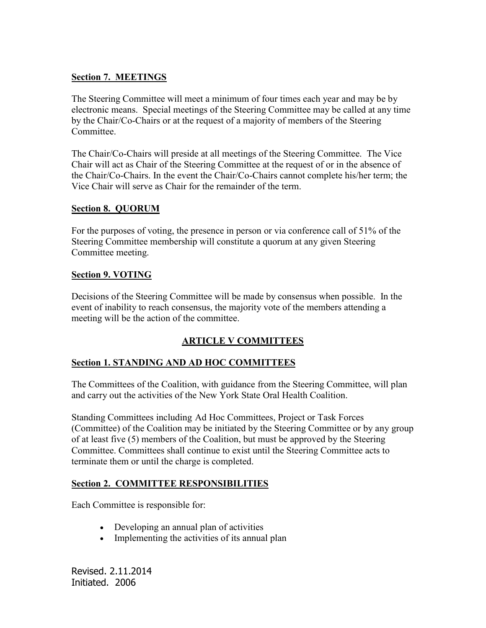## **Section 7. MEETINGS**

The Steering Committee will meet a minimum of four times each year and may be by electronic means. Special meetings of the Steering Committee may be called at any time by the Chair/Co-Chairs or at the request of a majority of members of the Steering Committee.

The Chair/Co-Chairs will preside at all meetings of the Steering Committee. The Vice Chair will act as Chair of the Steering Committee at the request of or in the absence of the Chair/Co-Chairs. In the event the Chair/Co-Chairs cannot complete his/her term; the Vice Chair will serve as Chair for the remainder of the term.

### **Section 8. QUORUM**

For the purposes of voting, the presence in person or via conference call of 51% of the Steering Committee membership will constitute a quorum at any given Steering Committee meeting.

### **Section 9. VOTING**

Decisions of the Steering Committee will be made by consensus when possible. In the event of inability to reach consensus, the majority vote of the members attending a meeting will be the action of the committee.

# **ARTICLE V COMMITTEES**

### **Section 1. STANDING AND AD HOC COMMITTEES**

The Committees of the Coalition, with guidance from the Steering Committee, will plan and carry out the activities of the New York State Oral Health Coalition.

Standing Committees including Ad Hoc Committees, Project or Task Forces (Committee) of the Coalition may be initiated by the Steering Committee or by any group of at least five (5) members of the Coalition, but must be approved by the Steering Committee. Committees shall continue to exist until the Steering Committee acts to terminate them or until the charge is completed.

### **Section 2. COMMITTEE RESPONSIBILITIES**

Each Committee is responsible for:

- Developing an annual plan of activities
- Implementing the activities of its annual plan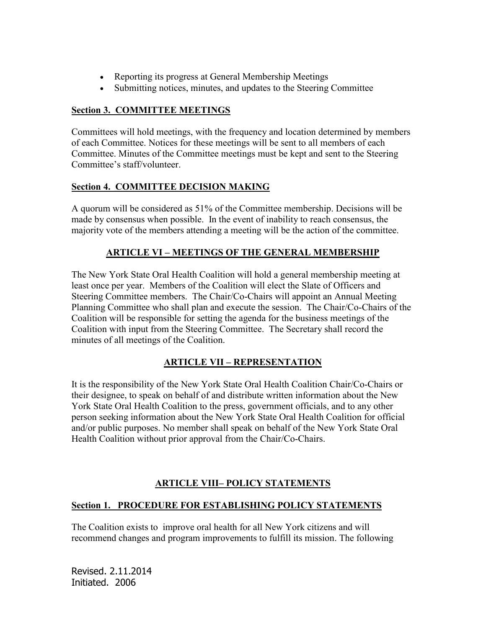- Reporting its progress at General Membership Meetings
- Submitting notices, minutes, and updates to the Steering Committee

# **Section 3. COMMITTEE MEETINGS**

Committees will hold meetings, with the frequency and location determined by members of each Committee. Notices for these meetings will be sent to all members of each Committee. Minutes of the Committee meetings must be kept and sent to the Steering Committee's staff/volunteer.

# **Section 4. COMMITTEE DECISION MAKING**

A quorum will be considered as 51% of the Committee membership. Decisions will be made by consensus when possible. In the event of inability to reach consensus, the majority vote of the members attending a meeting will be the action of the committee.

# **ARTICLE VI – MEETINGS OF THE GENERAL MEMBERSHIP**

The New York State Oral Health Coalition will hold a general membership meeting at least once per year. Members of the Coalition will elect the Slate of Officers and Steering Committee members. The Chair/Co-Chairs will appoint an Annual Meeting Planning Committee who shall plan and execute the session. The Chair/Co-Chairs of the Coalition will be responsible for setting the agenda for the business meetings of the Coalition with input from the Steering Committee. The Secretary shall record the minutes of all meetings of the Coalition.

# **ARTICLE VII – REPRESENTATION**

It is the responsibility of the New York State Oral Health Coalition Chair/Co-Chairs or their designee, to speak on behalf of and distribute written information about the New York State Oral Health Coalition to the press, government officials, and to any other person seeking information about the New York State Oral Health Coalition for official and/or public purposes. No member shall speak on behalf of the New York State Oral Health Coalition without prior approval from the Chair/Co-Chairs.

# **ARTICLE VIII– POLICY STATEMENTS**

# **Section 1. PROCEDURE FOR ESTABLISHING POLICY STATEMENTS**

The Coalition exists to improve oral health for all New York citizens and will recommend changes and program improvements to fulfill its mission. The following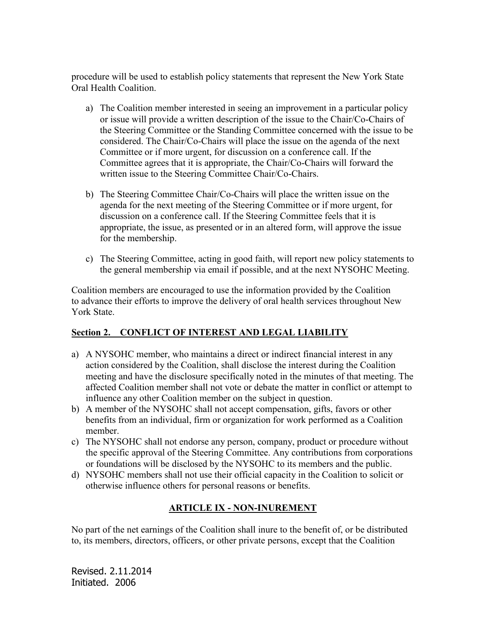procedure will be used to establish policy statements that represent the New York State Oral Health Coalition.

- a) The Coalition member interested in seeing an improvement in a particular policy or issue will provide a written description of the issue to the Chair/Co-Chairs of the Steering Committee or the Standing Committee concerned with the issue to be considered. The Chair/Co-Chairs will place the issue on the agenda of the next Committee or if more urgent, for discussion on a conference call. If the Committee agrees that it is appropriate, the Chair/Co-Chairs will forward the written issue to the Steering Committee Chair/Co-Chairs.
- b) The Steering Committee Chair/Co-Chairs will place the written issue on the agenda for the next meeting of the Steering Committee or if more urgent, for discussion on a conference call. If the Steering Committee feels that it is appropriate, the issue, as presented or in an altered form, will approve the issue for the membership.
- c) The Steering Committee, acting in good faith, will report new policy statements to the general membership via email if possible, and at the next NYSOHC Meeting.

Coalition members are encouraged to use the information provided by the Coalition to advance their efforts to improve the delivery of oral health services throughout New York State.

### **Section 2. \_CONFLICT OF INTEREST AND LEGAL LIABILITY**

- a) A NYSOHC member, who maintains a direct or indirect financial interest in any action considered by the Coalition, shall disclose the interest during the Coalition meeting and have the disclosure specifically noted in the minutes of that meeting. The affected Coalition member shall not vote or debate the matter in conflict or attempt to influence any other Coalition member on the subject in question.
- b) A member of the NYSOHC shall not accept compensation, gifts, favors or other benefits from an individual, firm or organization for work performed as a Coalition member.
- c) The NYSOHC shall not endorse any person, company, product or procedure without the specific approval of the Steering Committee. Any contributions from corporations or foundations will be disclosed by the NYSOHC to its members and the public.
- d) NYSOHC members shall not use their official capacity in the Coalition to solicit or otherwise influence others for personal reasons or benefits.

### **ARTICLE IX - NON-INUREMENT**

No part of the net earnings of the Coalition shall inure to the benefit of, or be distributed to, its members, directors, officers, or other private persons, except that the Coalition